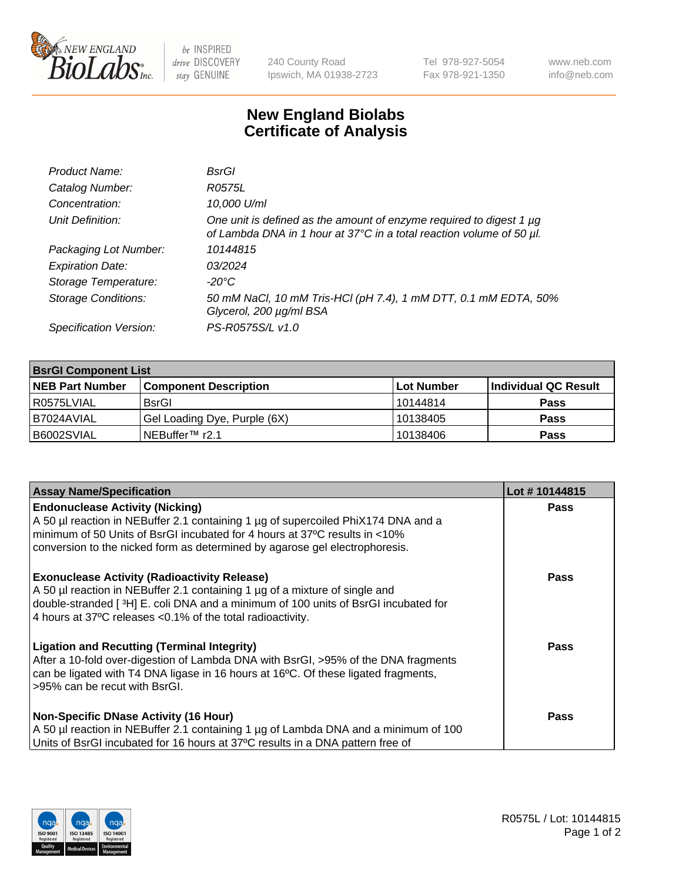

 $be$  INSPIRED drive DISCOVERY stay GENUINE

240 County Road Ipswich, MA 01938-2723 Tel 978-927-5054 Fax 978-921-1350 www.neb.com info@neb.com

## **New England Biolabs Certificate of Analysis**

| Product Name:              | BsrGl                                                                                                                                       |
|----------------------------|---------------------------------------------------------------------------------------------------------------------------------------------|
| Catalog Number:            | R0575L                                                                                                                                      |
| Concentration:             | 10,000 U/ml                                                                                                                                 |
| Unit Definition:           | One unit is defined as the amount of enzyme required to digest 1 µg<br>of Lambda DNA in 1 hour at 37°C in a total reaction volume of 50 µl. |
| Packaging Lot Number:      | 10144815                                                                                                                                    |
| <b>Expiration Date:</b>    | 03/2024                                                                                                                                     |
| Storage Temperature:       | $-20^{\circ}$ C                                                                                                                             |
| <b>Storage Conditions:</b> | 50 mM NaCl, 10 mM Tris-HCl (pH 7.4), 1 mM DTT, 0.1 mM EDTA, 50%<br>Glycerol, 200 µg/ml BSA                                                  |
| Specification Version:     | PS-R0575S/L v1.0                                                                                                                            |

| <b>BsrGI Component List</b> |                              |            |                      |  |  |
|-----------------------------|------------------------------|------------|----------------------|--|--|
| <b>NEB Part Number</b>      | <b>Component Description</b> | Lot Number | Individual QC Result |  |  |
| R0575LVIAL                  | <b>BsrGI</b>                 | 10144814   | <b>Pass</b>          |  |  |
| I B7024AVIAL                | Gel Loading Dye, Purple (6X) | 10138405   | <b>Pass</b>          |  |  |
| B6002SVIAL                  | INEBuffer™ r2.1              | 10138406   | <b>Pass</b>          |  |  |

| <b>Assay Name/Specification</b>                                                                                                                                                                                                                                                         | Lot #10144815 |
|-----------------------------------------------------------------------------------------------------------------------------------------------------------------------------------------------------------------------------------------------------------------------------------------|---------------|
| <b>Endonuclease Activity (Nicking)</b><br>A 50 µl reaction in NEBuffer 2.1 containing 1 µg of supercoiled PhiX174 DNA and a                                                                                                                                                             | <b>Pass</b>   |
| minimum of 50 Units of BsrGI incubated for 4 hours at 37°C results in <10%<br>conversion to the nicked form as determined by agarose gel electrophoresis.                                                                                                                               |               |
| <b>Exonuclease Activity (Radioactivity Release)</b><br>A 50 µl reaction in NEBuffer 2.1 containing 1 µg of a mixture of single and<br>double-stranded [3H] E. coli DNA and a minimum of 100 units of BsrGI incubated for<br>4 hours at 37°C releases < 0.1% of the total radioactivity. | Pass          |
| <b>Ligation and Recutting (Terminal Integrity)</b><br>After a 10-fold over-digestion of Lambda DNA with BsrGI, >95% of the DNA fragments<br>can be ligated with T4 DNA ligase in 16 hours at 16 <sup>o</sup> C. Of these ligated fragments,<br>l >95% can be recut with BsrGI.          | Pass          |
| <b>Non-Specific DNase Activity (16 Hour)</b><br>A 50 µl reaction in NEBuffer 2.1 containing 1 µg of Lambda DNA and a minimum of 100                                                                                                                                                     | Pass          |
| Units of BsrGI incubated for 16 hours at 37°C results in a DNA pattern free of                                                                                                                                                                                                          |               |